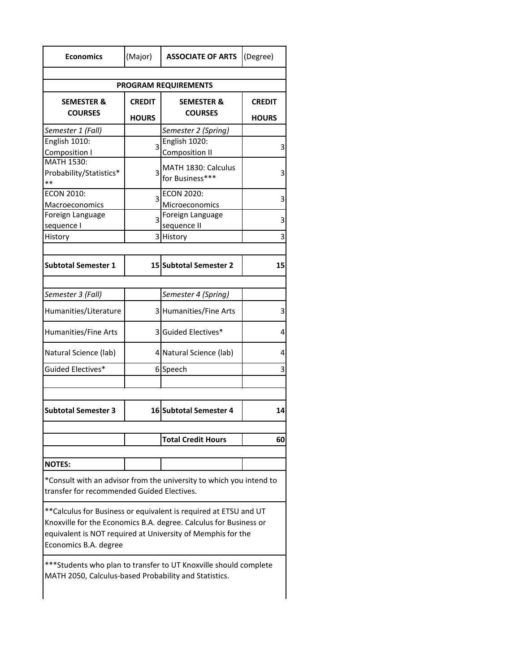| <b>Economics</b>                                                                                                                                                                                                               | (Major)        | <b>ASSOCIATE OF ARTS</b>      | (Degree)      |
|--------------------------------------------------------------------------------------------------------------------------------------------------------------------------------------------------------------------------------|----------------|-------------------------------|---------------|
|                                                                                                                                                                                                                                |                |                               |               |
| <b>PROGRAM REQUIREMENTS</b>                                                                                                                                                                                                    |                |                               |               |
| <b>SEMESTER &amp;</b>                                                                                                                                                                                                          | <b>CREDIT</b>  | <b>SEMESTER &amp;</b>         | <b>CREDIT</b> |
| <b>COURSES</b>                                                                                                                                                                                                                 | <b>HOURS</b>   | <b>COURSES</b>                | <b>HOURS</b>  |
| Semester 1 (Fall)                                                                                                                                                                                                              |                | Semester 2 (Spring)           |               |
| English 1010:                                                                                                                                                                                                                  | 3              | English 1020:                 | 3             |
| Composition I                                                                                                                                                                                                                  |                | <b>Composition II</b>         |               |
| MATH 1530:                                                                                                                                                                                                                     |                | MATH 1830: Calculus           |               |
| Probability/Statistics*<br>$**$                                                                                                                                                                                                | 3              | for Business***               | 3             |
| <b>ECON 2010:</b>                                                                                                                                                                                                              |                | <b>ECON 2020:</b>             |               |
| Macroeconomics                                                                                                                                                                                                                 | 3              | Microeconomics                | 3             |
| Foreign Language                                                                                                                                                                                                               |                | Foreign Language              |               |
| sequence I                                                                                                                                                                                                                     | $\overline{3}$ | sequence II                   | 3             |
| History                                                                                                                                                                                                                        |                | 3 History                     | 3             |
|                                                                                                                                                                                                                                |                |                               |               |
| <b>Subtotal Semester 1</b>                                                                                                                                                                                                     |                | <b>15 Subtotal Semester 2</b> | 15            |
|                                                                                                                                                                                                                                |                |                               |               |
| Semester 3 (Fall)                                                                                                                                                                                                              |                | Semester 4 (Spring)           |               |
| Humanities/Literature                                                                                                                                                                                                          |                | 3 Humanities/Fine Arts        | 3             |
| Humanities/Fine Arts                                                                                                                                                                                                           |                | 3 Guided Electives*           | 4             |
| Natural Science (lab)                                                                                                                                                                                                          |                | 4 Natural Science (lab)       | 4             |
| Guided Electives*                                                                                                                                                                                                              |                | 6Speech                       | 3             |
|                                                                                                                                                                                                                                |                |                               |               |
| <b>Subtotal Semester 3</b>                                                                                                                                                                                                     |                | <b>16 Subtotal Semester 4</b> | 14            |
|                                                                                                                                                                                                                                |                |                               |               |
|                                                                                                                                                                                                                                |                | <b>Total Credit Hours</b>     | 60            |
| <b>NOTES:</b>                                                                                                                                                                                                                  |                |                               |               |
|                                                                                                                                                                                                                                |                |                               |               |
| *Consult with an advisor from the university to which you intend to<br>transfer for recommended Guided Electives.                                                                                                              |                |                               |               |
| ** Calculus for Business or equivalent is required at ETSU and UT<br>Knoxville for the Economics B.A. degree. Calculus for Business or<br>equivalent is NOT required at University of Memphis for the<br>Economics B.A. degree |                |                               |               |
| ***Students who plan to transfer to UT Knoxville should complete<br>MATH 2050, Calculus-based Probability and Statistics.                                                                                                      |                |                               |               |